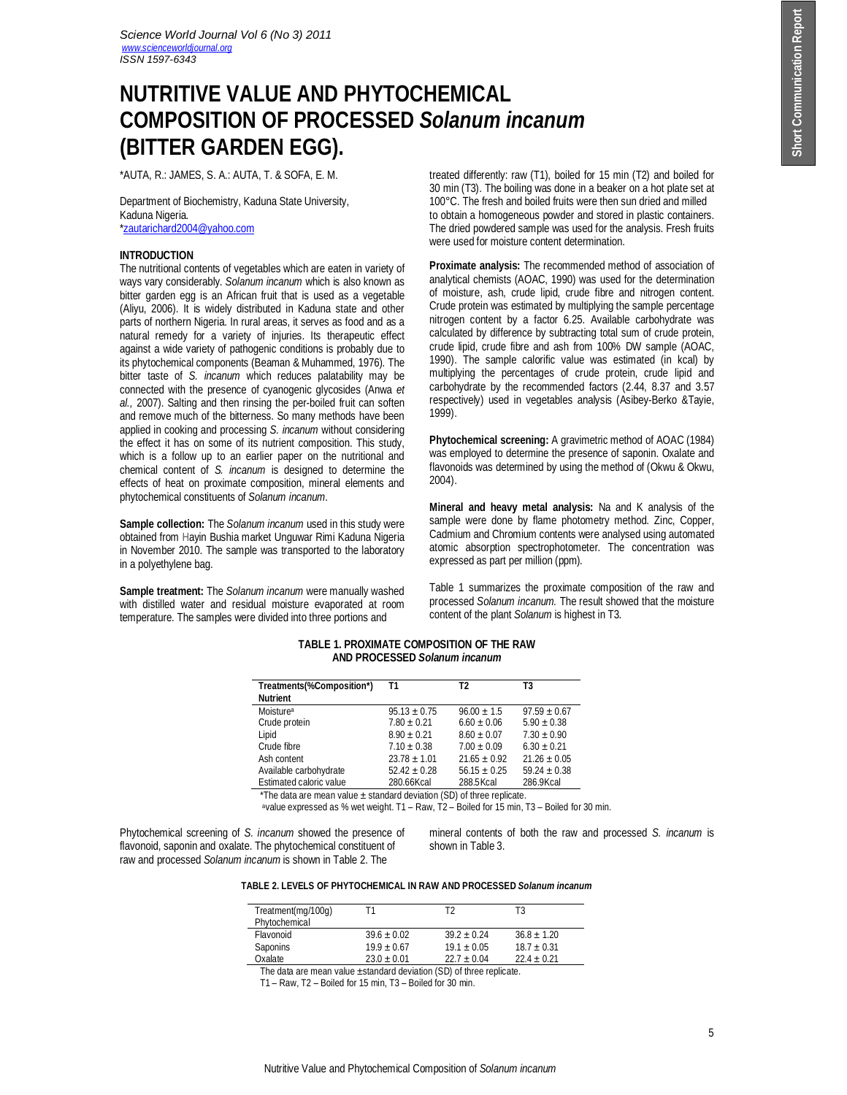# **NUTRITIVE VALUE AND PHYTOCHEMICAL COMPOSITION OF PROCESSED** *Solanum incanum*  **(BITTER GARDEN EGG).**

\*AUTA, R.: JAMES, S. A.: AUTA, T. & SOFA, E. M.

Department of Biochemistry, Kaduna State University, Kaduna Nigeria. \*zautarichard2004@yahoo.com

## **INTRODUCTION**

The nutritional contents of vegetables which are eaten in variety of ways vary considerably. *Solanum incanum* which is also known as bitter garden egg is an African fruit that is used as a vegetable (Aliyu, 2006). It is widely distributed in Kaduna state and other parts of northern Nigeria. In rural areas, it serves as food and as a natural remedy for a variety of injuries. Its therapeutic effect against a wide variety of pathogenic conditions is probably due to its phytochemical components (Beaman & Muhammed, 1976). The bitter taste of *S. incanum* which reduces palatability may be connected with the presence of cyanogenic glycosides (Anwa *et al.,* 2007). Salting and then rinsing the per-boiled fruit can soften and remove much of the bitterness. So many methods have been applied in cooking and processing *S. incanum* without considering the effect it has on some of its nutrient composition. This study, which is a follow up to an earlier paper on the nutritional and chemical content of *S. incanum* is designed to determine the effects of heat on proximate composition, mineral elements and phytochemical constituents of *Solanum incanum*.

**Sample collection:** The *Solanum incanum* used in this study were obtained from Hayin Bushia market Unguwar Rimi Kaduna Nigeria in November 2010. The sample was transported to the laboratory in a polyethylene bag.

**Sample treatment:** The *Solanum incanum* were manually washed with distilled water and residual moisture evaporated at room temperature. The samples were divided into three portions and

treated differently: raw (T1), boiled for 15 min (T2) and boiled for 30 min (T3). The boiling was done in a beaker on a hot plate set at 100°C. The fresh and boiled fruits were then sun dried and milled to obtain a homogeneous powder and stored in plastic containers. The dried powdered sample was used for the analysis. Fresh fruits were used for moisture content determination.

**Proximate analysis:** The recommended method of association of analytical chemists (AOAC, 1990) was used for the determination of moisture, ash, crude lipid, crude fibre and nitrogen content. Crude protein was estimated by multiplying the sample percentage nitrogen content by a factor 6.25. Available carbohydrate was calculated by difference by subtracting total sum of crude protein, crude lipid, crude fibre and ash from 100% DW sample (AOAC, 1990). The sample calorific value was estimated (in kcal) by multiplying the percentages of crude protein, crude lipid and carbohydrate by the recommended factors (2.44, 8.37 and 3.57 respectively) used in vegetables analysis (Asibey-Berko &Tayie, 1999).

**Phytochemical screening:** A gravimetric method of AOAC (1984) was employed to determine the presence of saponin. Oxalate and flavonoids was determined by using the method of (Okwu & Okwu, 2004).

**Mineral and heavy metal analysis:** Na and K analysis of the sample were done by flame photometry method. Zinc, Copper, Cadmium and Chromium contents were analysed using automated atomic absorption spectrophotometer. The concentration was expressed as part per million (ppm).

Table 1 summarizes the proximate composition of the raw and processed *Solanum incanum.* The result showed that the moisture content of the plant *Solanum* is highest in T3.

## **TABLE 1. PROXIMATE COMPOSITION OF THE RAW AND PROCESSED** *Solanum incanum*

| Treatments(%Composition*) | T1               | T2              | T3               |
|---------------------------|------------------|-----------------|------------------|
| <b>Nutrient</b>           |                  |                 |                  |
| Moisture <sup>a</sup>     | $95.13 + 0.75$   | $96.00 + 1.5$   | $97.59 \pm 0.67$ |
| Crude protein             | $7.80 + 0.21$    | $6.60 + 0.06$   | $5.90 + 0.38$    |
| Lipid                     | $8.90 + 0.21$    | $8.60 + 0.07$   | $7.30 + 0.90$    |
| Crude fibre               | $7.10 \pm 0.38$  | $7.00 \pm 0.09$ | $6.30 \pm 0.21$  |
| Ash content               | $23.78 \pm 1.01$ | $21.65 + 0.92$  | $21.26 + 0.05$   |
| Available carbohydrate    | $52.42 + 0.28$   | $56.15 + 0.25$  | $59.24 + 0.38$   |
| Estimated caloric value   | 280.66Kcal       | 288.5 Kcal      | 286.9Kcal        |
|                           |                  |                 |                  |

\*The data are mean value  $\pm$  standard deviation (SD) of three replicate.

<sup>a</sup>value expressed as % wet weight. T1 – Raw, T2 – Boiled for 15 min, T3 – Boiled for 30 min.

Phytochemical screening of *S. incanum* showed the presence of flavonoid, saponin and oxalate. The phytochemical constituent of raw and processed *Solanum incanum* is shown in Table 2. The

mineral contents of both the raw and processed *S. incanum* is shown in Table 3.

|  | TABLE 2. LEVELS OF PHYTOCHEMICAL IN RAW AND PROCESSED <i>Solanum incanum</i> |  |
|--|------------------------------------------------------------------------------|--|
|  |                                                                              |  |

| Treatment(mg/100g) | Τ1            | T2            | T3            |
|--------------------|---------------|---------------|---------------|
| Phytochemical      |               |               |               |
| Flavonoid          | $39.6 + 0.02$ | $39.2 + 0.24$ | $36.8 + 1.20$ |
| Saponins           | $19.9 + 0.67$ | $19.1 + 0.05$ | $18.7 + 0.31$ |
| Oxalate            | $23.0 + 0.01$ | $22.7 + 0.04$ | $22.4 + 0.21$ |

The data are mean value ±standard deviation (SD) of three replicate.

T1 – Raw, T2 – Boiled for 15 min, T3 – Boiled for 30 min.